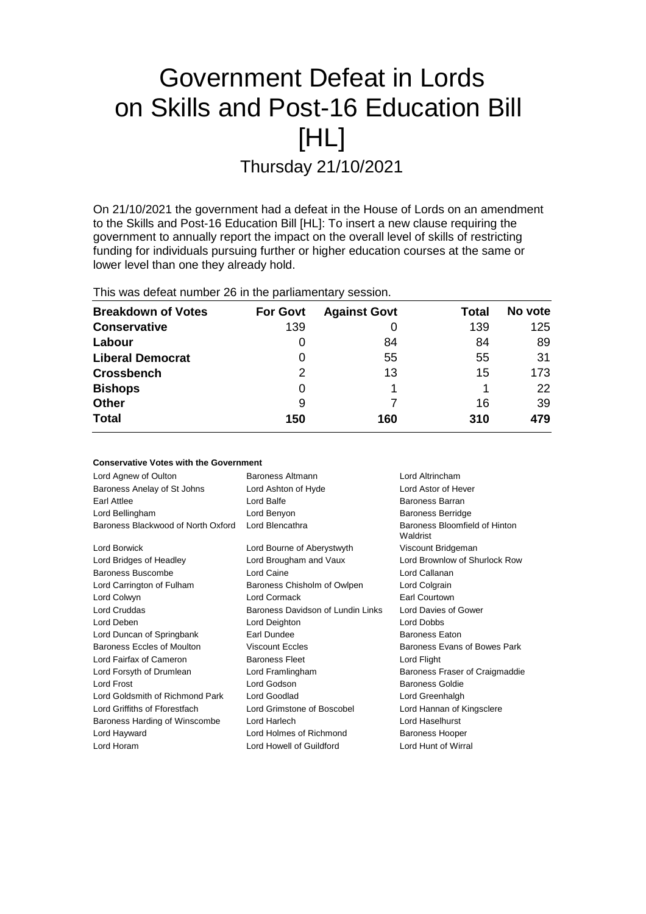# Government Defeat in Lords on Skills and Post-16 Education Bill [HL]

Thursday 21/10/2021

On 21/10/2021 the government had a defeat in the House of Lords on an amendment to the Skills and Post-16 Education Bill [HL]: To insert a new clause requiring the government to annually report the impact on the overall level of skills of restricting funding for individuals pursuing further or higher education courses at the same or lower level than one they already hold.

This was defeat number 26 in the parliamentary session.

| <b>Breakdown of Votes</b> | <b>For Govt</b> | <b>Against Govt</b> | Total | No vote |
|---------------------------|-----------------|---------------------|-------|---------|
| <b>Conservative</b>       | 139             | O                   | 139   | 125     |
| Labour                    | O               | 84                  | 84    | 89      |
| <b>Liberal Democrat</b>   | 0               | 55                  | 55    | 31      |
| <b>Crossbench</b>         | 2               | 13                  | 15    | 173.    |
| <b>Bishops</b>            | 0               |                     |       | 22      |
| <b>Other</b>              | 9               |                     | 16    | 39      |
| <b>Total</b>              | 150             | 160                 | 310   | 479     |

| <b>Conservative Votes with the Government</b> |                                           |  |
|-----------------------------------------------|-------------------------------------------|--|
| Baroness Altmann                              | Lord Altrincham                           |  |
| Lord Ashton of Hyde                           | Lord Astor of Hever                       |  |
| Lord Balfe                                    | Baroness Barran                           |  |
| Lord Benyon                                   | <b>Baroness Berridge</b>                  |  |
| Lord Blencathra                               | Baroness Bloomfield of Hinton<br>Waldrist |  |
| Lord Bourne of Aberystwyth                    | Viscount Bridgeman                        |  |
| Lord Brougham and Vaux                        | Lord Brownlow of Shurlock Row             |  |
| Lord Caine                                    | Lord Callanan                             |  |
| Baroness Chisholm of Owlpen                   | Lord Colgrain                             |  |
| Lord Cormack                                  | Earl Courtown                             |  |
| Baroness Davidson of Lundin Links             | Lord Davies of Gower                      |  |
| Lord Deighton                                 | <b>Lord Dobbs</b>                         |  |
| Earl Dundee                                   | <b>Baroness Eaton</b>                     |  |
| <b>Viscount Eccles</b>                        | Baroness Evans of Bowes Park              |  |
| <b>Baroness Fleet</b>                         | Lord Flight                               |  |
| Lord Framlingham                              | Baroness Fraser of Craigmaddie            |  |
| Lord Godson                                   | Baroness Goldie                           |  |
| Lord Goodlad                                  | Lord Greenhalgh                           |  |
| Lord Grimstone of Boscobel                    | Lord Hannan of Kingsclere                 |  |
| Lord Harlech                                  | Lord Haselhurst                           |  |
| Lord Holmes of Richmond                       | Baroness Hooper                           |  |
| Lord Howell of Guildford                      | Lord Hunt of Wirral                       |  |
|                                               |                                           |  |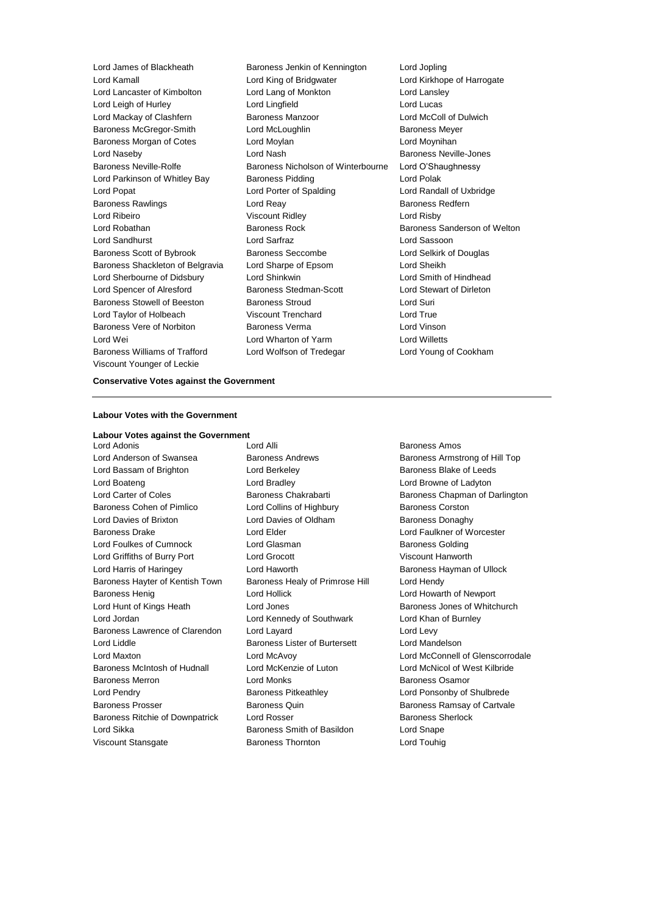Viscount Younger of Leckie

Lord James of Blackheath Baroness Jenkin of Kennington Lord Jopling Lord Kamall Lord King of Bridgwater Lord Kirkhope of Harrogate Lord Lancaster of Kimbolton Lord Lang of Monkton Lord Lansley Lord Leigh of Hurley Lord Lingfield Lord Lucas Lord Mackay of Clashfern **Baroness Manzoor Lord McColl of Dulwich** Baroness McGregor-Smith Lord McLoughlin **Baroness Meyer** Baroness Morgan of Cotes Lord Moylan Lord Moynihan Lord Naseby **Lord Nash Baroness Neville-Jones** Lord Nash Baroness Neville-Jones Baroness Neville-Rolfe **Baroness Nicholson of Winterbourne** Lord O'Shaughnessy Lord Parkinson of Whitley Bay Baroness Pidding Theorem Cord Polak Lord Popat Lord Porter of Spalding Lord Randall of Uxbridge Baroness Rawlings **Lord Reay Lord Reay Baroness Redfern** Lord Ribeiro Viscount Ridley Lord Risby Lord Robathan Baroness Rock Baroness Sanderson of Welton Lord Sandhurst Lord Sarfraz Lord Sassoon Baroness Scott of Bybrook Baroness Seccombe Lord Selkirk of Douglas Baroness Shackleton of Belgravia Lord Sharpe of Epsom Lord Sheikh Lord Sherbourne of Didsbury Lord Shinkwin Lord Smith of Hindhead Lord Spencer of Alresford Baroness Stedman-Scott Lord Stewart of Dirleton Baroness Stowell of Beeston Baroness Stroud Controller and Suri Lord Taylor of Holbeach Viscount Trenchard Lord True Baroness Vere of Norbiton **Baroness Verma** Lord Vinson Lord Wei Lord Wharton of Yarm Lord Willetts Baroness Williams of Trafford Lord Wolfson of Tredegar Lord Young of Cookham

### **Conservative Votes against the Government**

### **Labour Votes with the Government**

**Labour Votes against the Government**

**Lord Adonis Lord Alli Baroness Amos** Lord Anderson of Swansea **Baroness Andrews** Baroness Armstrong of Hill Top Lord Bassam of Brighton **Lord Berkeley Baroness Blake of Leeds Baroness Blake of Leeds** Lord Boateng Lord Bradley Lord Browne of Ladyton Lord Carter of Coles **Baroness Chakrabarti** Baroness Chapman of Darlington Baroness Cohen of Pimlico **Lord Collins of Highbury** Baroness Corston Lord Davies of Brixton **Lord Davies of Oldham** Baroness Donaghy Baroness Drake **Lord Elder** Lord Elder **Lord Faulkner of Worcester** Lord Foulkes of Cumnock Lord Glasman Baroness Golding Lord Griffiths of Burry Port Lord Grocott Viscount Hanworth Lord Harris of Haringey Lord Haworth Baroness Hayman of Ullock Baroness Hayter of Kentish Town Baroness Healy of Primrose Hill Lord Hendy Baroness Henig **Example 20** Lord Hollick **Lord Hollick** Lord Howarth of Newport Lord Hunt of Kings Heath Lord Jones **Baroness Jones of Whitchurch** Baroness Jones of Whitchurch Lord Jordan Lord Kennedy of Southwark Lord Khan of Burnley Baroness Lawrence of Clarendon Lord Layard Lord Levy Lord Liddle Baroness Lister of Burtersett Lord Mandelson Baroness McIntosh of Hudnall Lord McKenzie of Luton Lord McNicol of West Kilbride Baroness Merron **Baroness Merron Communist Construction** Lord Monks **Baroness Osamor** Lord Pendry **Baroness Pitkeathley Baroness Pitkeathley Lord Ponsonby of Shulbrede** Baroness Prosser **Baroness Quin** Baroness Quin Baroness Ramsay of Cartvale Baroness Ritchie of Downpatrick Lord Rosser **Baroness Sherlock** Baroness Sherlock Lord Sikka **Baroness Smith of Basildon** Lord Snape

Viscount Stansgate **Baroness Thornton** Controller Lord Touhig

Lord Maxton Lord McAvoy Lord McConnell of Glenscorrodale